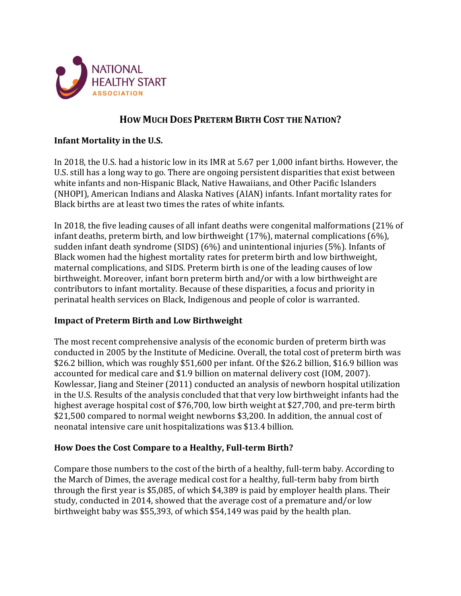

# **HOW MUCH DOES PRETERM BIRTH COST THE NATION?**

# **Infant Mortality in the U.S.**

In 2018, the U.S. had a historic low in its IMR at 5.67 per 1,000 infant births. However, the U.S. still has a long way to go. There are ongoing persistent disparities that exist between white infants and non-Hispanic Black, Native Hawaiians, and Other Pacific Islanders (NHOPI), American Indians and Alaska Natives (AIAN) infants. Infant mortality rates for Black births are at least two times the rates of white infants.

In 2018, the five leading causes of all infant deaths were congenital malformations (21% of infant deaths, preterm birth, and low birthweight (17%), maternal complications (6%), sudden infant death syndrome (SIDS) (6%) and unintentional injuries (5%). Infants of Black women had the highest mortality rates for preterm birth and low birthweight, maternal complications, and SIDS. Preterm birth is one of the leading causes of low birthweight. Moreover, infant born preterm birth and/or with a low birthweight are contributors to infant mortality. Because of these disparities, a focus and priority in perinatal health services on Black, Indigenous and people of color is warranted.

## **Impact of Preterm Birth and Low Birthweight**

The most recent comprehensive analysis of the economic burden of preterm birth was conducted in 2005 by the Institute of Medicine. Overall, the total cost of preterm birth was \$26.2 billion, which was roughly \$51,600 per infant. Of the \$26.2 billion, \$16.9 billion was accounted for medical care and \$1.9 billion on maternal delivery cost (IOM, 2007). Kowlessar, Jiang and Steiner (2011) conducted an analysis of newborn hospital utilization in the U.S. Results of the analysis concluded that that very low birthweight infants had the highest average hospital cost of \$76,700, low birth weight at \$27,700, and pre-term birth \$21,500 compared to normal weight newborns \$3,200. In addition, the annual cost of neonatal intensive care unit hospitalizations was \$13.4 billion.

## **How Does the Cost Compare to a Healthy, Full-term Birth?**

Compare those numbers to the cost of the birth of a healthy, full-term baby. According to the March of Dimes, the average medical cost for a healthy, full-term baby from birth through the first year is \$5,085, of which \$4,389 is paid by employer health plans. Their study, conducted in 2014, showed that the average cost of a premature and/or low birthweight baby was \$55,393, of which \$54,149 was paid by the health plan.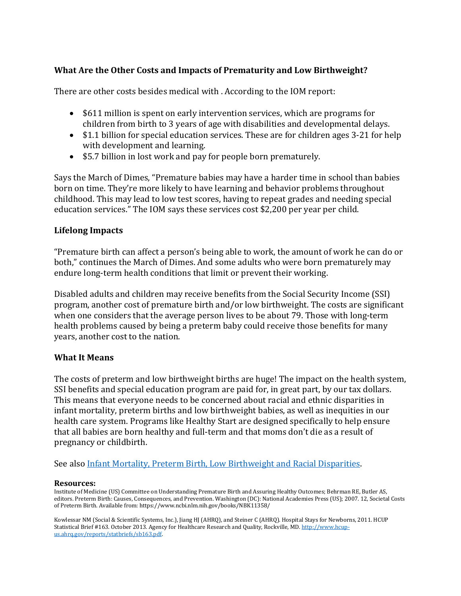# **What Are the Other Costs and Impacts of Prematurity and Low Birthweight?**

There are other costs besides medical with . According to the IOM report:

- \$611 million is spent on early intervention services, which are programs for children from birth to 3 years of age with disabilities and developmental delays.
- \$1.1 billion for special education services. These are for children ages 3-21 for help with development and learning.
- \$5.7 billion in lost work and pay for people born prematurely.

Says the March of Dimes, "Premature babies may have a harder time in school than babies born on time. They're more likely to have learning and behavior problems throughout childhood. This may lead to low test scores, having to repeat grades and needing special education services." The IOM says these services cost \$2,200 per year per child.

### **Lifelong Impacts**

"Premature birth can affect a person's being able to work, the amount of work he can do or both," continues the March of Dimes. And some adults who were born prematurely may endure long-term health conditions that limit or prevent their working.

Disabled adults and children may receive benefits from the Social Security Income (SSI) program, another cost of premature birth and/or low birthweight. The costs are significant when one considers that the average person lives to be about 79. Those with long-term health problems caused by being a preterm baby could receive those benefits for many years, another cost to the nation.

#### **What It Means**

The costs of preterm and low birthweight births are huge! The impact on the health system, SSI benefits and special education program are paid for, in great part, by our tax dollars. This means that everyone needs to be concerned about racial and ethnic disparities in infant mortality, preterm births and low birthweight babies, as well as inequities in our health care system. Programs like Healthy Start are designed specifically to help ensure that all babies are born healthy and full-term and that moms don't die as a result of pregnancy or childbirth.

See als[o Infant Mortality, Preterm Birth, Low Birthweight and Racial Disparities.](https://documentcloud.adobe.com/link/review?uri=urn:aaid:scds:US:e7bed99e-8432-420b-8856-f52493eb7598)

#### **Resources:**

Institute of Medicine (US) Committee on Understanding Premature Birth and Assuring Healthy Outcomes; Behrman RE, Butler AS, editors. Preterm Birth: Causes, Consequences, and Prevention. Washington (DC): National Academies Press (US); 2007. 12, Societal Costs of Preterm Birth. Available from: https://www.ncbi.nlm.nih.gov/books/NBK11358/

Kowlessar NM (Social & Scientific Systems, Inc.), Jiang HJ (AHRQ), and Steiner C (AHRQ). Hospital Stays for Newborns, 2011. HCUP Statistical Brief #163. October 2013. Agency for Healthcare Research and Quality, Rockville, MD[. http://www.hcup](http://www.hcup-us.ahrq.gov/reports/statbriefs/sb163.pdf)[us.ahrq.gov/reports/statbriefs/sb163.pdf.](http://www.hcup-us.ahrq.gov/reports/statbriefs/sb163.pdf)